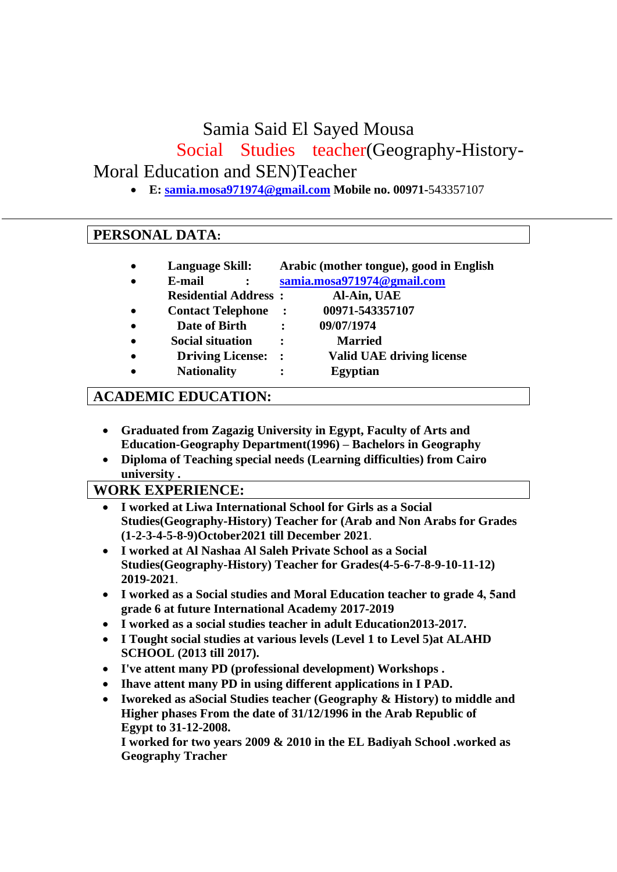Samia Said El Sayed Mousa

Social Studies teacher(Geography-History-

Moral Education and SEN)Teacher

• **E: [samia.mosa971974@gmail.com](mailto:samia.mosa971974@gmail.com) Mobile no. 00971-**543357107

## **PERSONAL DATA:**

- **Language Skill: Arabic (mother tongue), good in English**  • **E-mail : [samia.mosa971974@gmail.com](mailto:samia.mosa971974@gmail.com)**
	- **Residential Address : Al-Ain, UAE**
- • **Contact Telephone : 00971-543357107**
- • **Date of Birth : 09/07/1974**
- • **Social situation : Married**
- • **Driving License: : Valid UAE driving license**
- - **Nationality : Egyptian**

# **ACADEMIC EDUCATION:**

- **Graduated from Zagazig University in Egypt, Faculty of Arts and Education-Geography Department(1996) – Bachelors in Geography**
- **Diploma of Teaching special needs (Learning difficulties) from Cairo university .**

### **WORK EXPERIENCE:**

- **I worked at Liwa International School for Girls as a Social Studies(Geography-History) Teacher for (Arab and Non Arabs for Grades (1-2-3-4-5-8-9)October2021 till December 2021**.
- **I worked at Al Nashaa Al Saleh Private School as a Social Studies(Geography-History) Teacher for Grades(4-5-6-7-8-9-10-11-12) 2019-2021**.
- **I worked as a Social studies and Moral Education teacher to grade 4, 5and grade 6 at future International Academy 2017-2019**
- **I worked as a social studies teacher in adult Education2013-2017.**
- **I Tought social studies at various levels (Level 1 to Level 5)at ALAHD SCHOOL (2013 till 2017).**
- **I've attent many PD (professional development) Workshops .**
- **Ihave attent many PD in using different applications in I PAD.**
- **Iworeked as aSocial Studies teacher (Geography & History) to middle and Higher phases From the date of 31/12/1996 in the Arab Republic of Egypt to 31-12-2008.**

**I worked for two years 2009 & 2010 in the EL Badiyah School .worked as Geography Tracher**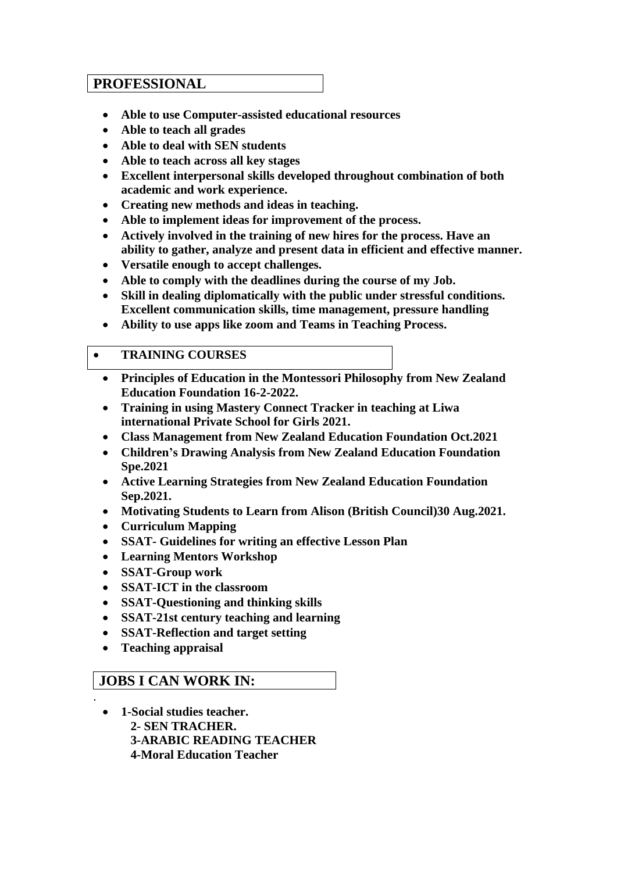#### **PROFESSIONAL**

- **Able to use Computer-assisted educational resources**
- **Able to teach all grades**
- **Able to deal with SEN students**
- **Able to teach across all key stages**
- **Excellent interpersonal skills developed throughout combination of both academic and work experience.**
- **Creating new methods and ideas in teaching .**
- **Able to implement ideas for improvement of the process.**
- **Actively involved in the training of new hires for the process. Have an ability to gather, analyze and present data in efficient and effective manner.**
- **Versatile enough to accept challenges.**
- **Able to comply with the deadlines during the course of my Job.**
- **Skill in dealing diplomatically with the public under stressful conditions. Excellent communication skills, time management, pressure handling**
- **Ability to use apps like zoom and Teams in Teaching Process.**

#### • **TRAINING COURSES**

- **Principles of Education in the Montessori Philosophy from New Zealand Education Foundation 16-2-2022.**
- **Training in using Mastery Connect Tracker in teaching at Liwa international Private School for Girls 2021.**
- **Class Management from New Zealand Education Foundation Oct.2021**
- **Children's Drawing Analysis from New Zealand Education Foundation Spe.2021**
- **Active Learning Strategies from New Zealand Education Foundation Sep.2021.**
- **Motivating Students to Learn from Alison (British Council)30 Aug.2021.**
- **Curriculum Mapping**
- **SSAT- Guidelines for writing an effective Lesson Plan**
- **Learning Mentors Workshop**
- **SSAT-Group work**
- **SSAT-ICT in the classroom**
- **SSAT-Questioning and thinking skills**
- **SSAT-21st century teaching and learning**
- **SSAT-Reflection and target setting**
- **Teaching appraisal**

.

#### **JOBS I CAN WORK IN:**

• **1-Social studies teacher. 2- SEN TRACHER. 3-ARABIC READING TEACHER 4-Moral Education Teacher**